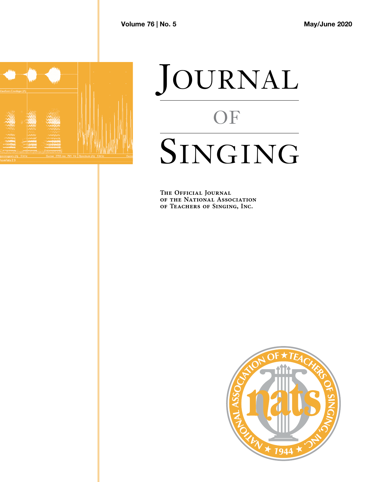

# JOURNAL OF SINGING

**The Official Journal T H E O F F I C I A L JO U R N A L of the National Association of Teachers of Singing, Inc. O F T H E NAT I O N A L AS S O C IAT I O N**

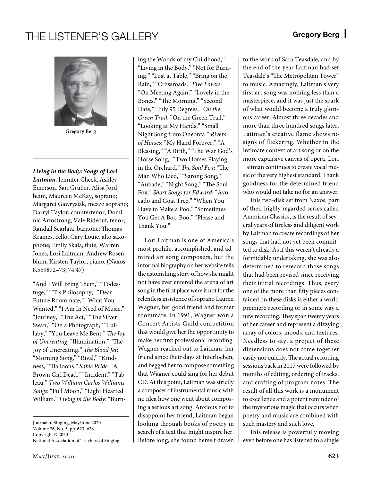## THE LISTENER'S GALLERY Gregory Berg



**Gregory Berg**

*Living in the Body: Songs of Lori Laitman*. Jennifer Check, Ashley Emerson, Sari Gruber, Alisa Jordheim, Maureen McKay, soprano; Margaret Gawrysiak, mezzo soprano; Darryl Taylor, countertenor; Dominic Armstrong, Vale Rideout, tenor; Randall Scarlata, baritone; Thomas Kraines, cello; Gary Louie, alto saxophone; Emily Skala, flute; Warren Jones, Lori Laitman, Andrew Rosenblum, Kirsten Taylor, piano. (Naxos 8.559872–73; 74:47)

"And I Will Bring Them," "Todesfuge," "Tis Philosophy," "Dear Future Roommate," "What You Wanted," "I Am In Need of Music," "Journey," "The Act," "The Silver Swan," "On a Photograph," "Lullaby," "You Leave Me Bent." *The Joy of Uncreating*: "Illumination," "The Joy of Uncreating." *The Blood Jet*: "Morning Song," "Rival," "Kindness," "Balloons." *Sable Pride*: "A Brown Girl Dead," "Incident," "Tableau." *Two William Carlos Williams Songs*: "Full Moon," "Light Hearted William." *Living in the Body*: "Burn-

Journal of Singing, May/June 2020 Volume 76, No. 5, pp. 623–628 Copyright © 2020 National Association of Teachers of Singing

May/June 2020 **623**

ing the Woods of my Childhood," "Living in the Body," "Not for Burning," "Lost at Table," "Bring on the Rain," "Crossroads." *Five Lovers*: "On Meeting Again," "Lovely in the Bones," "The Morning," "Second Date," "July 95 Degrees." *On the Green Trail*: "On the Green Trail," "Looking at My Hands," "Small Night Song from Oneonta." *Rivers of Horses*: "My Hand Forever," "A Blessing," "A Birth," "The War God's Horse Song," "Two Horses Playing in the Orchard." *The Soul Fox*: "The Man Who Lied," "Sarong Song," "Aubade," "Night Song," "The Soul Fox." *Short Songs for Edward*: "Avocado and Goat Tree," "When You Have to Make a Poo," "Sometimes You Get A Boo-Boo," "Please and Thank You."

Lori Laitman is one of America's most prolific, accomplished, and admired art song composers, but the informal biography on her website tells the astonishing story of how she might not have ever entered the arena of art song in the first place were it not for the relentless insistence of soprano Lauren Wagner, her good friend and former roommate. In 1991, Wagner won a Concert Artists Guild competition that would give her the opportunity to make her first professional recording. Wagner reached out to Laitman, her friend since their days at Interlochen, and begged her to compose something that Wagner could sing for her debut CD. At this point, Laitman was strictly a composer of instrumental music with no idea how one went about composing a serious art song. Anxious not to disappoint her friend, Laitman began looking through books of poetry in search of a text that might inspire her. Before long, she found herself drawn to the work of Sara Teasdale, and by the end of the year Laitman had set Teasdale's "The Metropolitan Tower" to music. Amazingly, Laitman's very first art song was nothing less than a masterpiece, and it was just the spark of what would become a truly glorious career. Almost three decades and more than three hundred songs later, Laitman's creative flame shows no signs of flickering. Whether in the intimate context of art song or on the more expansive canvas of opera, Lori Laitman continues to create vocal music of the very highest standard. Thank goodness for the determined friend who would not take no for an answer.

This two-disk set from Naxos, part of their highly regarded series called American Classics, is the result of several years of tireless and diligent work by Laitman to create recordings of her songs that had not yet been committed to disk. As if this weren't already a formidable undertaking, she was also determined to rerecord those songs that had been revised since receiving their initial recordings. Thus, every one of the more than fifty pieces contained on these disks is either a world premiere recording or in some way a new recording. They span twenty years of her career and represent a dizzying array of colors, moods, and textures. Needless to say, a project of these dimensions does not come together easily nor quickly. The actual recording sessions back in 2017 were followed by months of editing, ordering of tracks, and crafting of program notes. The result of all this work is a monument to excellence and a potent reminder of the mysterious magic that occurs when poetry and music are combined with such mastery and such love.

This release is powerfully moving even before one has listened to a single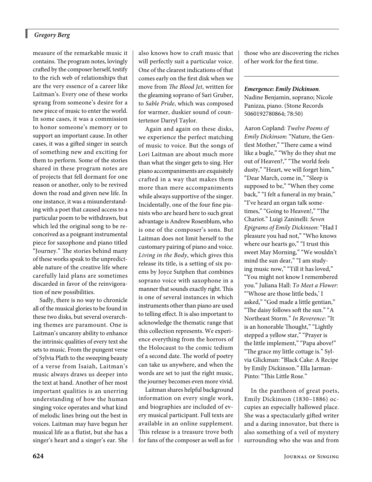#### *Gregory Berg*

I

measure of the remarkable music it contains. The program notes, lovingly crafted by the composer herself, testify to the rich web of relationships that are the very essence of a career like Laitman's. Every one of these works sprang from someone's desire for a new piece of music to enter the world. In some cases, it was a commission to honor someone's memory or to support an important cause. In other cases, it was a gifted singer in search of something new and exciting for them to perform. Some of the stories shared in these program notes are of projects that fell dormant for one reason or another, only to be revived down the road and given new life. In one instance, it was a misunderstanding with a poet that caused access to a particular poem to be withdrawn, but which led the original song to be reconceived as a poignant instrumental piece for saxophone and piano titled "Journey." The stories behind many of these works speak to the unpredictable nature of the creative life where carefully laid plans are sometimes discarded in favor of the reinvigoration of new possibilities.

Sadly, there is no way to chronicle all of the musical glories to be found in these two disks, but several overarching themes are paramount. One is Laitman's uncanny ability to enhance the intrinsic qualities of every text she sets to music. From the pungent verse of Sylvia Plath to the sweeping beauty of a verse from Isaiah, Laitman's music always draws us deeper into the text at hand. Another of her most important qualities is an unerring understanding of how the human singing voice operates and what kind of melodic lines bring out the best in voices. Laitman may have begun her musical life as a flutist, but she has a singer's heart and a singer's ear. She also knows how to craft music that will perfectly suit a particular voice. One of the clearest indications of that comes early on the first disk when we move from *The Blood Jet*, written for the gleaming soprano of Sari Gruber, to *Sable Pride*, which was composed for warmer, duskier sound of countertenor Darryl Taylor.

Again and again on these disks, we experience the perfect matching of music to voice. But the songs of Lori Laitman are about much more than what the singer gets to sing. Her piano accompaniments are exquisitely crafted in a way that makes them more than mere accompaniments while always supportive of the singer. Incidentally, one of the four fine pianists who are heard here to such great advantage is Andrew Rosenblum, who is one of the composer's sons. But Laitman does not limit herself to the customary pairing of piano and voice. *Living in the Body*, which gives this release its title, is a setting of six poems by Joyce Sutphen that combines soprano voice with saxophone in a manner that sounds exactly right. This is one of several instances in which instruments other than piano are used to telling effect. It is also important to acknowledge the thematic range that this collection represents. We experience everything from the horrors of the Holocaust to the comic tedium of a second date. The world of poetry can take us anywhere, and when the words are set to just the right music, the journey becomes even more vivid.

Laitman shares helpful background information on every single work, and biographies are included of every musical participant. Full texts are available in an online supplement. This release is a treasure trove both for fans of the composer as well as for those who are discovering the riches of her work for the first time.

#### *Emergence: Emily Dickinson*. Nadine Benjamin, soprano; Nicole Panizza, piano. (Stone Records

5060192780864; 78:50)

Aaron Copland: *Twelve Poems of Emily Dickinson*: "Nature, the Gentlest Mother," "There came a wind like a bugle," "Why do they shut me out of Heaven?," "The world feels dusty," "Heart, we will forget him," "Dear March, come in," "Sleep is supposed to be," "When they come back," "I felt a funeral in my brain," "I've heard an organ talk sometimes," "Going to Heaven!," "The Chariot." Luigi Zaninelli: *Seven Epigrams of Emily Dickinson*: "Had I pleasure you had not," "Who knows where our hearts go," "I trust this sweet May Morning," "We wouldn't mind the sun dear," "I am studying music now," "Till it has loved," "You might not know I remembered you." Juliana Hall: *To Meet a Flower*: "'Whose are those little beds,' I asked," "God made a little gentian," "The daisy follows soft the sun." "A Northeast Storm." *In Reverence*: "It is an honorable Thought," "Lightly stepped a yellow star," "Prayer is the little implement," "Papa above!" "The grace my little cottage is." Sylvia Glickman: "Black Cake: A Recipe by Emily Dickinson." Ella Jarman-Pinto: "This Little Rose."

In the pantheon of great poets, Emily Dickinson (1830–1886) occupies an especially hallowed place. She was a spectacularly gifted writer and a daring innovator, but there is also something of a veil of mystery surrounding who she was and from